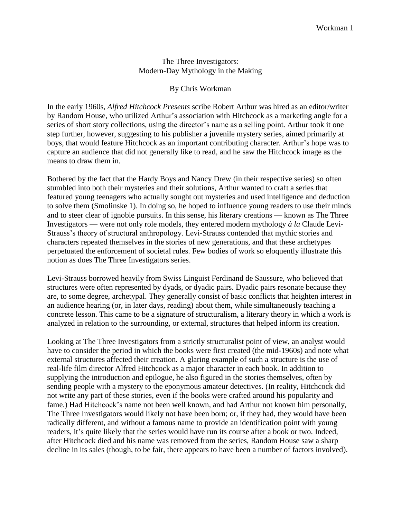## The Three Investigators: Modern-Day Mythology in the Making

## By Chris Workman

In the early 1960s, *Alfred Hitchcock Presents* scribe Robert Arthur was hired as an editor/writer by Random House, who utilized Arthur's association with Hitchcock as a marketing angle for a series of short story collections, using the director's name as a selling point. Arthur took it one step further, however, suggesting to his publisher a juvenile mystery series, aimed primarily at boys, that would feature Hitchcock as an important contributing character. Arthur's hope was to capture an audience that did not generally like to read, and he saw the Hitchcock image as the means to draw them in.

Bothered by the fact that the Hardy Boys and Nancy Drew (in their respective series) so often stumbled into both their mysteries and their solutions, Arthur wanted to craft a series that featured young teenagers who actually sought out mysteries and used intelligence and deduction to solve them (Smolinske 1). In doing so, he hoped to influence young readers to use their minds and to steer clear of ignoble pursuits. In this sense, his literary creations — known as The Three Investigators — were not only role models, they entered modern mythology *à la* Claude Levi-Strauss's theory of structural anthropology. Levi-Strauss contended that mythic stories and characters repeated themselves in the stories of new generations, and that these archetypes perpetuated the enforcement of societal rules. Few bodies of work so eloquently illustrate this notion as does The Three Investigators series.

Levi-Strauss borrowed heavily from Swiss Linguist Ferdinand de Saussure, who believed that structures were often represented by dyads, or dyadic pairs. Dyadic pairs resonate because they are, to some degree, archetypal. They generally consist of basic conflicts that heighten interest in an audience hearing (or, in later days, reading) about them, while simultaneously teaching a concrete lesson. This came to be a signature of structuralism, a literary theory in which a work is analyzed in relation to the surrounding, or external, structures that helped inform its creation.

Looking at The Three Investigators from a strictly structuralist point of view, an analyst would have to consider the period in which the books were first created (the mid-1960s) and note what external structures affected their creation. A glaring example of such a structure is the use of real-life film director Alfred Hitchcock as a major character in each book. In addition to supplying the introduction and epilogue, he also figured in the stories themselves, often by sending people with a mystery to the eponymous amateur detectives. (In reality, Hitchcock did not write any part of these stories, even if the books were crafted around his popularity and fame.) Had Hitchcock's name not been well known, and had Arthur not known him personally, The Three Investigators would likely not have been born; or, if they had, they would have been radically different, and without a famous name to provide an identification point with young readers, it's quite likely that the series would have run its course after a book or two. Indeed, after Hitchcock died and his name was removed from the series, Random House saw a sharp decline in its sales (though, to be fair, there appears to have been a number of factors involved).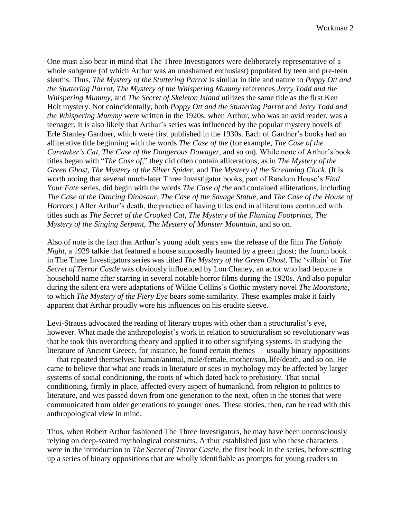One must also bear in mind that The Three Investigators were deliberately representative of a whole subgenre (of which Arthur was an unashamed enthusiast) populated by teen and pre-teen sleuths. Thus, *The Mystery of the Stuttering Parrot* is similar in title and nature to *Poppy Ott and the Stuttering Parrot*, *The Mystery of the Whispering Mummy* references *Jerry Todd and the Whispering Mummy*, and *The Secret of Skeleton Island* utilizes the same title as the first Ken Holt mystery. Not coincidentally, both *Poppy Ott and the Stuttering Parrot* and *Jerry Todd and the Whispering Mummy* were written in the 1920s, when Arthur, who was an avid reader, was a teenager. It is also likely that Arthur's series was influenced by the popular mystery novels of Erle Stanley Gardner, which were first published in the 1930s. Each of Gardner's books had an alliterative title beginning with the words *The Case of the* (for example, *The Case of the Caretaker's Cat*, *The Case of the Dangerous Dowager*, and so on). While none of Arthur's book titles began with "*The Case of*," they did often contain alliterations, as in *The Mystery of the Green Ghost*, *The Mystery of the Silver Spider*, and *The Mystery of the Screaming Clock*. (It is worth noting that several much-later Three Investigator books, part of Random House's *Find Your Fate* series, did begin with the words *The Case of the* and contained alliterations, including *The Case of the Dancing Dinosaur*, *The Case of the Savage Statue*, and *The Case of the House of Horrors*.) After Arthur's death, the practice of having titles end in alliterations continued with titles such as *The Secret of the Crooked Cat*, *The Mystery of the Flaming Footprints*, *The Mystery of the Singing Serpent*, *The Mystery of Monster Mountain*, and so on.

Also of note is the fact that Arthur's young adult years saw the release of the film *The Unholy Night*, a 1929 talkie that featured a house supposedly haunted by a green ghost; the fourth book in The Three Investigators series was titled *The Mystery of the Green Ghost*. The 'villain' of *The Secret of Terror Castle* was obviously influenced by Lon Chaney, an actor who had become a household name after starring in several notable horror films during the 1920s. And also popular during the silent era were adaptations of Wilkie Collins's Gothic mystery novel *The Moonstone*, to which *The Mystery of the Fiery Eye* bears some similarity. These examples make it fairly apparent that Arthur proudly wore his influences on his erudite sleeve.

Levi-Strauss advocated the reading of literary tropes with other than a structuralist's eye, however. What made the anthropologist's work in relation to structuralism so revolutionary was that he took this overarching theory and applied it to other signifying systems. In studying the literature of Ancient Greece, for instance, he found certain themes — usually binary oppositions — that repeated themselves: human/animal, male/female, mother/son, life/death, and so on. He came to believe that what one reads in literature or sees in mythology may be affected by larger systems of social conditioning, the roots of which dated back to prehistory. That social conditioning, firmly in place, affected every aspect of humankind, from religion to politics to literature, and was passed down from one generation to the next, often in the stories that were communicated from older generations to younger ones. These stories, then, can be read with this anthropological view in mind.

Thus, when Robert Arthur fashioned The Three Investigators, he may have been unconsciously relying on deep-seated mythological constructs. Arthur established just who these characters were in the introduction to *The Secret of Terror Castle*, the first book in the series, before setting up a series of binary oppositions that are wholly identifiable as prompts for young readers to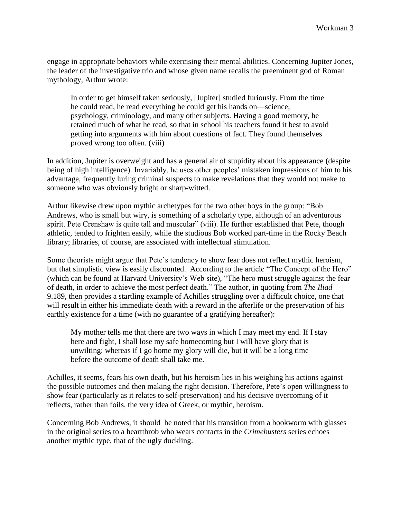engage in appropriate behaviors while exercising their mental abilities. Concerning Jupiter Jones, the leader of the investigative trio and whose given name recalls the preeminent god of Roman mythology, Arthur wrote:

In order to get himself taken seriously, [Jupiter] studied furiously. From the time he could read, he read everything he could get his hands on—science, psychology, criminology, and many other subjects. Having a good memory, he retained much of what he read, so that in school his teachers found it best to avoid getting into arguments with him about questions of fact. They found themselves proved wrong too often. (viii)

In addition, Jupiter is overweight and has a general air of stupidity about his appearance (despite being of high intelligence). Invariably, he uses other peoples' mistaken impressions of him to his advantage, frequently luring criminal suspects to make revelations that they would not make to someone who was obviously bright or sharp-witted.

Arthur likewise drew upon mythic archetypes for the two other boys in the group: "Bob Andrews, who is small but wiry, is something of a scholarly type, although of an adventurous spirit. Pete Crenshaw is quite tall and muscular" (viii). He further established that Pete, though athletic, tended to frighten easily, while the studious Bob worked part-time in the Rocky Beach library; libraries, of course, are associated with intellectual stimulation.

Some theorists might argue that Pete's tendency to show fear does not reflect mythic heroism, but that simplistic view is easily discounted. According to the article "The Concept of the Hero" (which can be found at Harvard University's Web site), "The hero must struggle against the fear of death, in order to achieve the most perfect death." The author, in quoting from *The Iliad* 9.189, then provides a startling example of Achilles struggling over a difficult choice, one that will result in either his immediate death with a reward in the afterlife or the preservation of his earthly existence for a time (with no guarantee of a gratifying hereafter):

My mother tells me that there are two ways in which I may meet my end. If I stay here and fight, I shall lose my safe homecoming but I will have glory that is unwilting: whereas if I go home my glory will die, but it will be a long time before the outcome of death shall take me.

Achilles, it seems, fears his own death, but his heroism lies in his weighing his actions against the possible outcomes and then making the right decision. Therefore, Pete's open willingness to show fear (particularly as it relates to self-preservation) and his decisive overcoming of it reflects, rather than foils, the very idea of Greek, or mythic, heroism.

Concerning Bob Andrews, it should be noted that his transition from a bookworm with glasses in the original series to a heartthrob who wears contacts in the *Crimebusters* series echoes another mythic type, that of the ugly duckling.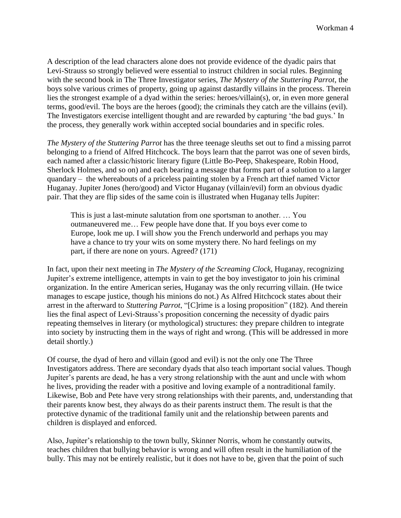A description of the lead characters alone does not provide evidence of the dyadic pairs that Levi-Strauss so strongly believed were essential to instruct children in social rules. Beginning with the second book in The Three Investigator series, *The Mystery of the Stuttering Parrot*, the boys solve various crimes of property, going up against dastardly villains in the process. Therein lies the strongest example of a dyad within the series: heroes/villain(s), or, in even more general terms, good/evil. The boys are the heroes (good); the criminals they catch are the villains (evil). The Investigators exercise intelligent thought and are rewarded by capturing 'the bad guys.' In the process, they generally work within accepted social boundaries and in specific roles.

*The Mystery of the Stuttering Parrot* has the three teenage sleuths set out to find a missing parrot belonging to a friend of Alfred Hitchcock. The boys learn that the parrot was one of seven birds, each named after a classic/historic literary figure (Little Bo-Peep, Shakespeare, Robin Hood, Sherlock Holmes, and so on) and each bearing a message that forms part of a solution to a larger quandary – the whereabouts of a priceless painting stolen by a French art thief named Victor Huganay. Jupiter Jones (hero/good) and Victor Huganay (villain/evil) form an obvious dyadic pair. That they are flip sides of the same coin is illustrated when Huganay tells Jupiter:

This is just a last-minute salutation from one sportsman to another. … You outmaneuvered me… Few people have done that. If you boys ever come to Europe, look me up. I will show you the French underworld and perhaps you may have a chance to try your wits on some mystery there. No hard feelings on my part, if there are none on yours. Agreed? (171)

In fact, upon their next meeting in *The Mystery of the Screaming Clock*, Huganay, recognizing Jupiter's extreme intelligence, attempts in vain to get the boy investigator to join his criminal organization. In the entire American series, Huganay was the only recurring villain. (He twice manages to escape justice, though his minions do not.) As Alfred Hitchcock states about their arrest in the afterward to *Stuttering Parrot*, "[C]rime is a losing proposition" (182). And therein lies the final aspect of Levi-Strauss's proposition concerning the necessity of dyadic pairs repeating themselves in literary (or mythological) structures: they prepare children to integrate into society by instructing them in the ways of right and wrong. (This will be addressed in more detail shortly.)

Of course, the dyad of hero and villain (good and evil) is not the only one The Three Investigators address. There are secondary dyads that also teach important social values. Though Jupiter's parents are dead, he has a very strong relationship with the aunt and uncle with whom he lives, providing the reader with a positive and loving example of a nontraditional family. Likewise, Bob and Pete have very strong relationships with their parents, and, understanding that their parents know best, they always do as their parents instruct them. The result is that the protective dynamic of the traditional family unit and the relationship between parents and children is displayed and enforced.

Also, Jupiter's relationship to the town bully, Skinner Norris, whom he constantly outwits, teaches children that bullying behavior is wrong and will often result in the humiliation of the bully. This may not be entirely realistic, but it does not have to be, given that the point of such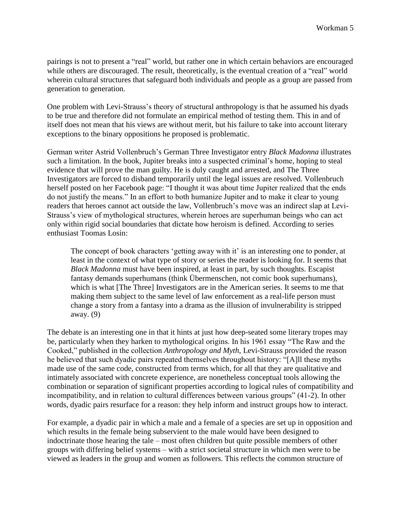pairings is not to present a "real" world, but rather one in which certain behaviors are encouraged while others are discouraged. The result, theoretically, is the eventual creation of a "real" world wherein cultural structures that safeguard both individuals and people as a group are passed from generation to generation.

One problem with Levi-Strauss's theory of structural anthropology is that he assumed his dyads to be true and therefore did not formulate an empirical method of testing them. This in and of itself does not mean that his views are without merit, but his failure to take into account literary exceptions to the binary oppositions he proposed is problematic.

German writer Astrid Vollenbruch's German Three Investigator entry *Black Madonna* illustrates such a limitation. In the book, Jupiter breaks into a suspected criminal's home, hoping to steal evidence that will prove the man guilty. He is duly caught and arrested, and The Three Investigators are forced to disband temporarily until the legal issues are resolved. Vollenbruch herself posted on her Facebook page: "I thought it was about time Jupiter realized that the ends do not justify the means." In an effort to both humanize Jupiter and to make it clear to young readers that heroes cannot act outside the law, Vollenbruch's move was an indirect slap at Levi-Strauss's view of mythological structures, wherein heroes are superhuman beings who can act only within rigid social boundaries that dictate how heroism is defined. According to series enthusiast Toomas Losin:

The concept of book characters 'getting away with it' is an interesting one to ponder, at least in the context of what type of story or series the reader is looking for. It seems that *Black Madonna* must have been inspired, at least in part, by such thoughts. Escapist fantasy demands superhumans (think Übermenschen, not comic book superhumans), which is what [The Three] Investigators are in the American series. It seems to me that making them subject to the same level of law enforcement as a real-life person must change a story from a fantasy into a drama as the illusion of invulnerability is stripped away. (9)

The debate is an interesting one in that it hints at just how deep-seated some literary tropes may be, particularly when they harken to mythological origins. In his 1961 essay "The Raw and the Cooked," published in the collection *Anthropology and Myth*, Levi-Strauss provided the reason he believed that such dyadic pairs repeated themselves throughout history: "[A]ll these myths made use of the same code, constructed from terms which, for all that they are qualitative and intimately associated with concrete experience, are nonetheless conceptual tools allowing the combination or separation of significant properties according to logical rules of compatibility and incompatibility, and in relation to cultural differences between various groups" (41-2). In other words, dyadic pairs resurface for a reason: they help inform and instruct groups how to interact.

For example, a dyadic pair in which a male and a female of a species are set up in opposition and which results in the female being subservient to the male would have been designed to indoctrinate those hearing the tale – most often children but quite possible members of other groups with differing belief systems – with a strict societal structure in which men were to be viewed as leaders in the group and women as followers. This reflects the common structure of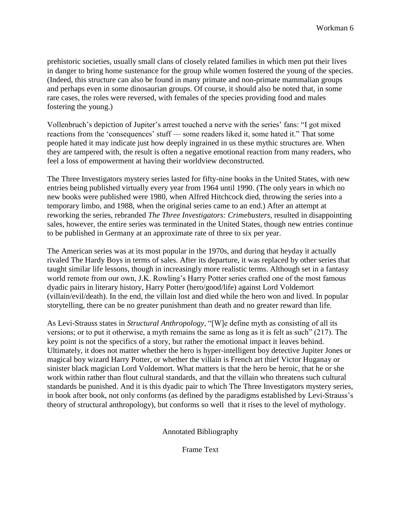prehistoric societies, usually small clans of closely related families in which men put their lives in danger to bring home sustenance for the group while women fostered the young of the species. (Indeed, this structure can also be found in many primate and non-primate mammalian groups and perhaps even in some dinosaurian groups. Of course, it should also be noted that, in some rare cases, the roles were reversed, with females of the species providing food and males fostering the young.)

Vollenbruch's depiction of Jupiter's arrest touched a nerve with the series' fans: "I got mixed reactions from the 'consequences' stuff — some readers liked it, some hated it." That some people hated it may indicate just how deeply ingrained in us these mythic structures are. When they are tampered with, the result is often a negative emotional reaction from many readers, who feel a loss of empowerment at having their worldview deconstructed.

The Three Investigators mystery series lasted for fifty-nine books in the United States, with new entries being published virtually every year from 1964 until 1990. (The only years in which no new books were published were 1980, when Alfred Hitchcock died, throwing the series into a temporary limbo, and 1988, when the original series came to an end.) After an attempt at reworking the series, rebranded *The Three Investigators: Crimebusters*, resulted in disappointing sales, however, the entire series was terminated in the United States, though new entries continue to be published in Germany at an approximate rate of three to six per year.

The American series was at its most popular in the 1970s, and during that heyday it actually rivaled The Hardy Boys in terms of sales. After its departure, it was replaced by other series that taught similar life lessons, though in increasingly more realistic terms. Although set in a fantasy world remote from our own, J.K. Rowling's Harry Potter series crafted one of the most famous dyadic pairs in literary history, Harry Potter (hero/good/life) against Lord Voldemort (villain/evil/death). In the end, the villain lost and died while the hero won and lived. In popular storytelling, there can be no greater punishment than death and no greater reward than life.

As Levi-Strauss states in *Structural Anthropology*, "[W]e define myth as consisting of all its versions; or to put it otherwise, a myth remains the same as long as it is felt as such" (217). The key point is not the specifics of a story, but rather the emotional impact it leaves behind. Ultimately, it does not matter whether the hero is hyper-intelligent boy detective Jupiter Jones or magical boy wizard Harry Potter, or whether the villain is French art thief Victor Huganay or sinister black magician Lord Voldemort. What matters is that the hero be heroic, that he or she work within rather than flout cultural standards, and that the villain who threatens such cultural standards be punished. And it is this dyadic pair to which The Three Investigators mystery series, in book after book, not only conforms (as defined by the paradigms established by Levi-Strauss's theory of structural anthropology), but conforms so well that it rises to the level of mythology.

Annotated Bibliography

Frame Text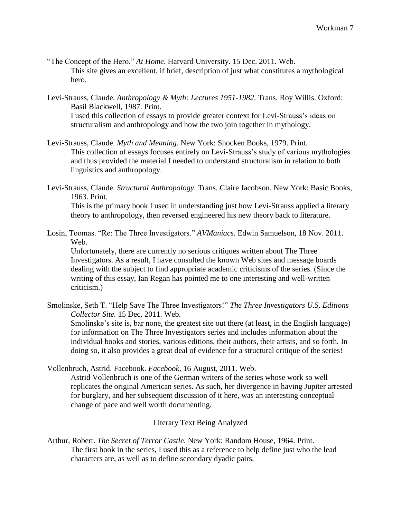- "The Concept of the Hero." *At Home*. Harvard University. 15 Dec. 2011. Web. This site gives an excellent, if brief, description of just what constitutes a mythological hero.
- Levi-Strauss, Claude. *Anthropology & Myth: Lectures 1951-1982*. Trans. Roy Willis. Oxford: Basil Blackwell, 1987. Print. I used this collection of essays to provide greater context for Levi-Strauss's ideas on structuralism and anthropology and how the two join together in mythology.
- Levi-Strauss, Claude. *Myth and Meaning*. New York: Shocken Books, 1979. Print. This collection of essays focuses entirely on Levi-Strauss's study of various mythologies and thus provided the material I needed to understand structuralism in relation to both linguistics and anthropology.
- Levi-Strauss, Claude. *Structural Anthropology*. Trans. Claire Jacobson. New York: Basic Books, 1963. Print.

This is the primary book I used in understanding just how Levi-Strauss applied a literary theory to anthropology, then reversed engineered his new theory back to literature.

Losin, Toomas. "Re: The Three Investigators." *AVManiacs.* Edwin Samuelson, 18 Nov. 2011. Web.

Unfortunately, there are currently no serious critiques written about The Three Investigators. As a result, I have consulted the known Web sites and message boards dealing with the subject to find appropriate academic criticisms of the series. (Since the writing of this essay, Ian Regan has pointed me to one interesting and well-written criticism.)

Smolinske, Seth T. "Help Save The Three Investigators!" *The Three Investigators U.S. Editions Collector Site.* 15 Dec. 2011. Web.

Smolinske's site is, bar none, the greatest site out there (at least, in the English language) for information on The Three Investigators series and includes information about the individual books and stories, various editions, their authors, their artists, and so forth. In doing so, it also provides a great deal of evidence for a structural critique of the series!

Vollenbruch, Astrid. Facebook. *Facebook*, 16 August, 2011. Web.

Astrid Vollenbruch is one of the German writers of the series whose work so well replicates the original American series. As such, her divergence in having Jupiter arrested for burglary, and her subsequent discussion of it here, was an interesting conceptual change of pace and well worth documenting.

Literary Text Being Analyzed

Arthur, Robert. *The Secret of Terror Castle*. New York: Random House, 1964. Print. The first book in the series, I used this as a reference to help define just who the lead characters are, as well as to define secondary dyadic pairs.